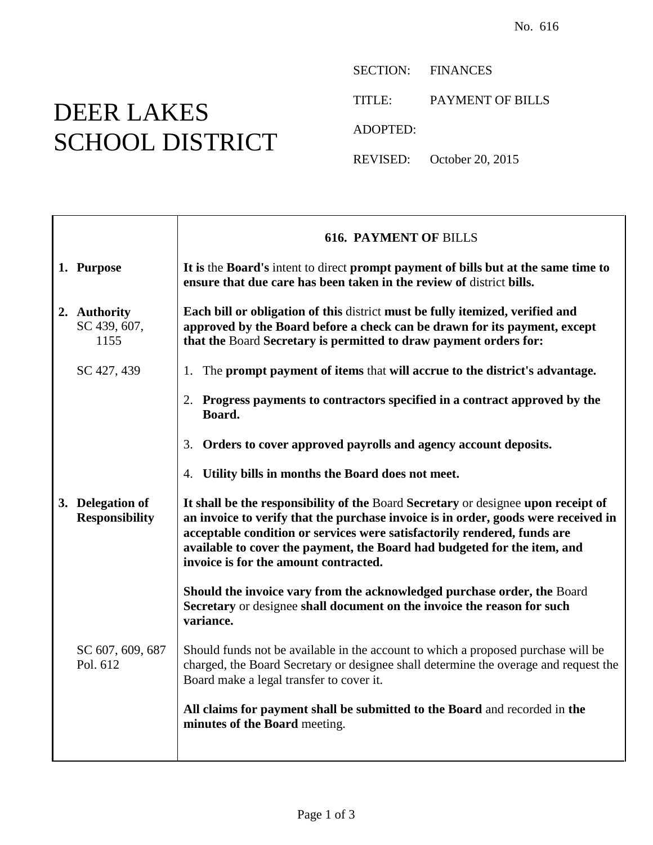## DEER LAKES SCHOOL DISTRICT

Τ

 $\Gamma$ 

SECTION: FINANCES

TITLE: PAYMENT OF BILLS

ADOPTED:

REVISED: October 20, 2015

|                                           | <b>616. PAYMENT OF BILLS</b>                                                                                                                                                                                                                                                                                                                                             |
|-------------------------------------------|--------------------------------------------------------------------------------------------------------------------------------------------------------------------------------------------------------------------------------------------------------------------------------------------------------------------------------------------------------------------------|
| 1. Purpose                                | It is the Board's intent to direct prompt payment of bills but at the same time to<br>ensure that due care has been taken in the review of district bills.                                                                                                                                                                                                               |
| 2. Authority<br>SC 439, 607,<br>1155      | Each bill or obligation of this district must be fully itemized, verified and<br>approved by the Board before a check can be drawn for its payment, except<br>that the Board Secretary is permitted to draw payment orders for:                                                                                                                                          |
| SC 427, 439                               | 1. The prompt payment of items that will accrue to the district's advantage.                                                                                                                                                                                                                                                                                             |
|                                           | 2. Progress payments to contractors specified in a contract approved by the<br>Board.                                                                                                                                                                                                                                                                                    |
|                                           | 3. Orders to cover approved payrolls and agency account deposits.                                                                                                                                                                                                                                                                                                        |
|                                           | 4. Utility bills in months the Board does not meet.                                                                                                                                                                                                                                                                                                                      |
| 3. Delegation of<br><b>Responsibility</b> | It shall be the responsibility of the Board Secretary or designee upon receipt of<br>an invoice to verify that the purchase invoice is in order, goods were received in<br>acceptable condition or services were satisfactorily rendered, funds are<br>available to cover the payment, the Board had budgeted for the item, and<br>invoice is for the amount contracted. |
|                                           | Should the invoice vary from the acknowledged purchase order, the Board<br>Secretary or designee shall document on the invoice the reason for such<br>variance.                                                                                                                                                                                                          |
| SC 607, 609, 687<br>Pol. 612              | Should funds not be available in the account to which a proposed purchase will be<br>charged, the Board Secretary or designee shall determine the overage and request the<br>Board make a legal transfer to cover it.                                                                                                                                                    |
|                                           | All claims for payment shall be submitted to the Board and recorded in the<br>minutes of the Board meeting.                                                                                                                                                                                                                                                              |
|                                           |                                                                                                                                                                                                                                                                                                                                                                          |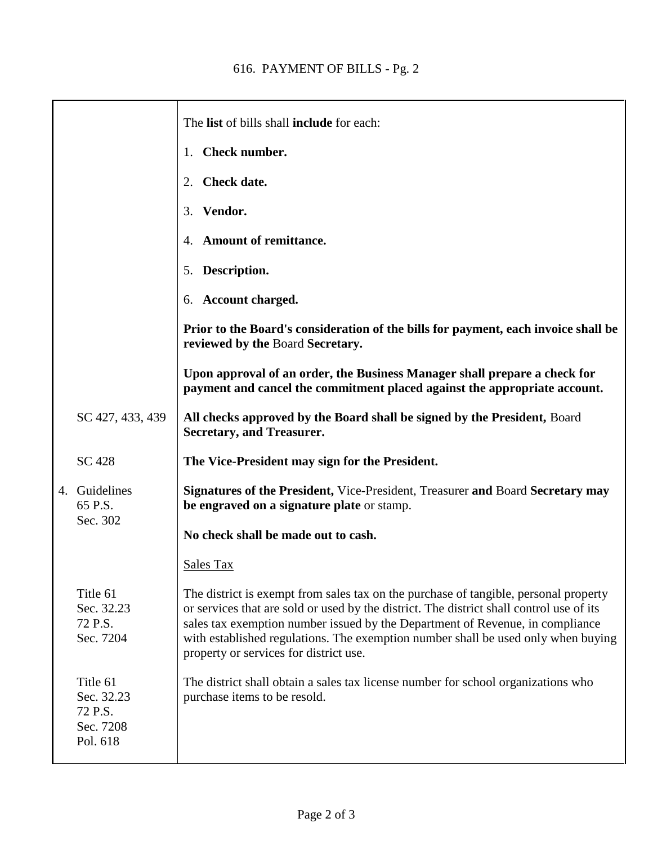|  |                                                            | The list of bills shall include for each:                                                                                                                                                                                                                                                                                                                                                        |
|--|------------------------------------------------------------|--------------------------------------------------------------------------------------------------------------------------------------------------------------------------------------------------------------------------------------------------------------------------------------------------------------------------------------------------------------------------------------------------|
|  |                                                            | 1. Check number.                                                                                                                                                                                                                                                                                                                                                                                 |
|  |                                                            | 2. Check date.                                                                                                                                                                                                                                                                                                                                                                                   |
|  |                                                            | 3. Vendor.                                                                                                                                                                                                                                                                                                                                                                                       |
|  |                                                            | 4. Amount of remittance.                                                                                                                                                                                                                                                                                                                                                                         |
|  |                                                            | 5. Description.                                                                                                                                                                                                                                                                                                                                                                                  |
|  |                                                            | 6. Account charged.                                                                                                                                                                                                                                                                                                                                                                              |
|  |                                                            | Prior to the Board's consideration of the bills for payment, each invoice shall be<br>reviewed by the Board Secretary.                                                                                                                                                                                                                                                                           |
|  |                                                            | Upon approval of an order, the Business Manager shall prepare a check for<br>payment and cancel the commitment placed against the appropriate account.                                                                                                                                                                                                                                           |
|  | SC 427, 433, 439                                           | All checks approved by the Board shall be signed by the President, Board<br><b>Secretary, and Treasurer.</b>                                                                                                                                                                                                                                                                                     |
|  | SC 428                                                     | The Vice-President may sign for the President.                                                                                                                                                                                                                                                                                                                                                   |
|  | 4. Guidelines<br>65 P.S.<br>Sec. 302                       | Signatures of the President, Vice-President, Treasurer and Board Secretary may<br>be engraved on a signature plate or stamp.                                                                                                                                                                                                                                                                     |
|  |                                                            | No check shall be made out to cash.                                                                                                                                                                                                                                                                                                                                                              |
|  |                                                            | Sales Tax                                                                                                                                                                                                                                                                                                                                                                                        |
|  | Title 61<br>Sec. 32.23<br>72 P.S.<br>Sec. 7204             | The district is exempt from sales tax on the purchase of tangible, personal property<br>or services that are sold or used by the district. The district shall control use of its<br>sales tax exemption number issued by the Department of Revenue, in compliance<br>with established regulations. The exemption number shall be used only when buying<br>property or services for district use. |
|  | Title 61<br>Sec. 32.23<br>72 P.S.<br>Sec. 7208<br>Pol. 618 | The district shall obtain a sales tax license number for school organizations who<br>purchase items to be resold.                                                                                                                                                                                                                                                                                |